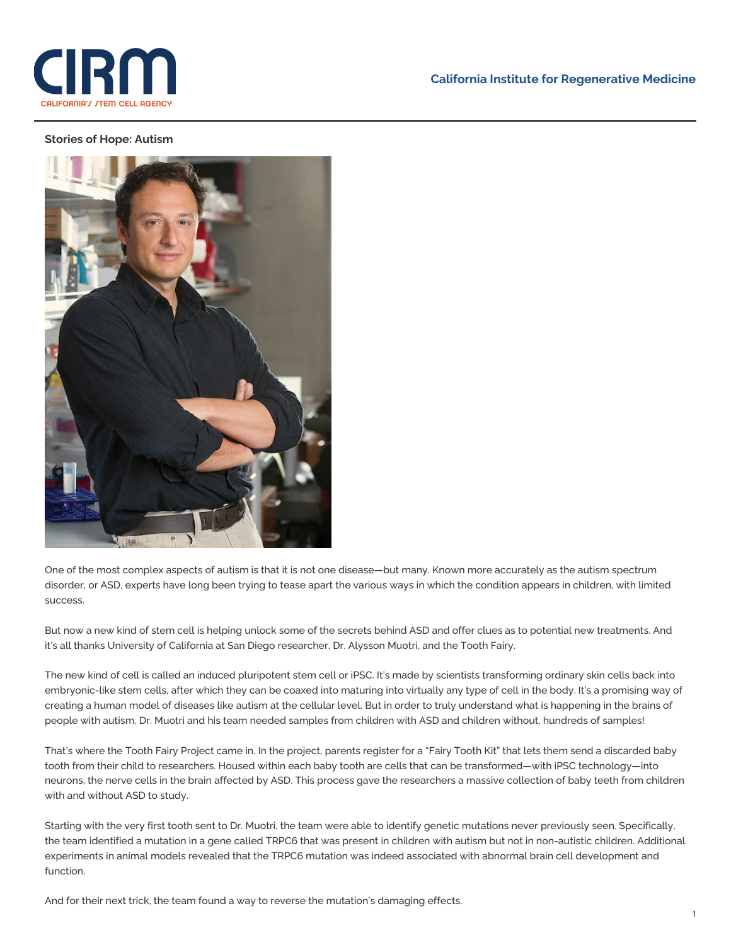

## **California Institute for Regenerative Medicine**

## **Stories of Hope: Autism**



One of the most complex aspects of autism is that it is not one disease—but many. Known more accurately as the autism spectrum disorder, or ASD, experts have long been trying to tease apart the various ways in which the condition appears in children, with limited success.

But now a new kind of stem cell is helping unlock some of the secrets behind ASD and offer clues as to potential new treatments. And it's all thanks University of California at San Diego researcher, Dr. Alysson Muotri, and the Tooth Fairy.

The new kind of cell is called an induced pluripotent stem cell or iPSC. It's made by scientists transforming ordinary skin cells back into embryonic-like stem cells, after which they can be coaxed into maturing into virtually any type of cell in the body. It's a promising way of creating a human model of diseases like autism at the cellular level. But in order to truly understand what is happening in the brains of people with autism, Dr. Muotri and his team needed samples from children with ASD and children without, hundreds of samples!

That's where the Tooth Fairy Project came in. In the project, parents register for a "Fairy Tooth Kit" that lets them send a discarded baby tooth from their child to researchers. Housed within each baby tooth are cells that can be transformed—with iPSC technology—into neurons, the nerve cells in the brain affected by ASD. This process gave the researchers a massive collection of baby teeth from children with and without ASD to study.

Starting with the very first tooth sent to Dr. Muotri, the team were able to identify genetic mutations never previously seen. Specifically, the team identified a mutation in a gene called TRPC6 that was present in children with autism but not in non-autistic children. Additional experiments in animal models revealed that the TRPC6 mutation was indeed associated with abnormal brain cell development and function.

And for their next trick, the team found a way to reverse the mutation's damaging effects.